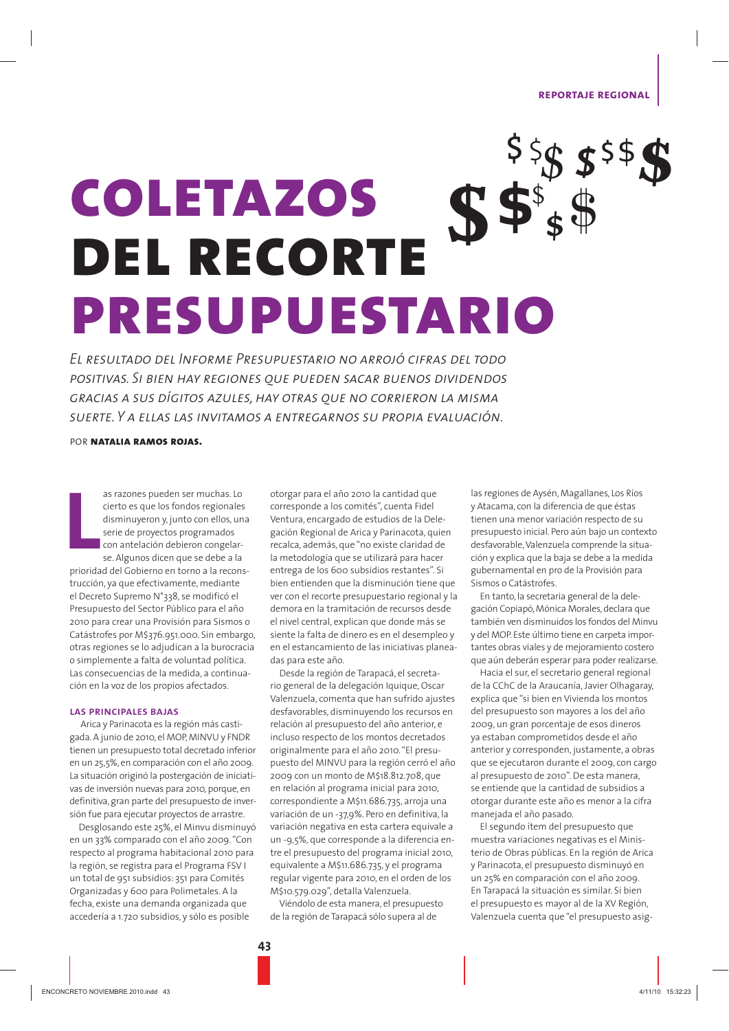**REPORTAJE REGIONAL** 

# $\sqrt[3]{5}$   $\sqrt[5]{5}$ **COLETAZOS**  $SS^*$ **DEL RECORTE** PRESUPUESTARIO

EL RESULTADO DEL INFORME PRESUPUESTARIO NO ARROJÓ CIFRAS DEL TODO POSITIVAS. SI BIEN HAY REGIONES OUE PUEDEN SACAR BUENOS DIVIDENDOS GRACIAS A SUS DÍGITOS AZULES. HAY OTRAS QUE NO CORRIERON LA MISMA SUERTE. Y A ELLAS LAS INVITAMOS A ENTREGARNOS SU PROPIA EVALUACIÓN.

POR NATALIA RAMOS ROJAS.

as razones pueden ser muchas. Lo cierto es que los fondos regionales disminuyeron y, junto con ellos, una serie de proyectos programados con antelación debieron congelarse. Algunos dicen que se debe a la prioridad del Gobierno en torno a la reconstrucción, ya que efectivamente, mediante el Decreto Supremo N°338, se modificó el Presupuesto del Sector Público para el año 2010 para crear una Provisión para Sismos o Catástrofes por M\$376.951.000. Sin embargo, otras regiones se lo adjudican a la burocracia o simplemente a falta de voluntad política. Las consecuencias de la medida, a continuación en la voz de los propios afectados.

### **LAS PRINCIPALES BAJAS**

Arica y Parinacota es la región más castigada. A junio de 2010, el MOP, MINVU y FNDR tienen un presupuesto total decretado inferior en un 25,5%, en comparación con el año 2009. La situación originó la postergación de iniciativas de inversión nuevas para 2010, porque, en definitiva, gran parte del presupuesto de inversión fue para ejecutar proyectos de arrastre.

Desglosando este 25%, el Minvu disminuyó en un 33% comparado con el año 2009. "Con respecto al programa habitacional 2010 para la región, se registra para el Programa FSV I un total de 951 subsidios: 351 para Comités Organizadas y 600 para Polimetales. A la fecha, existe una demanda organizada que accedería a 1.720 subsidios, y sólo es posible

otorgar para el año 2010 la cantidad que corresponde a los comités" cuenta Fidel Ventura, encargado de estudios de la Delegación Regional de Arica y Parinacota, quien recalca, además, que "no existe claridad de la metodología que se utilizará para hacer entrega de los 600 subsidios restantes". Si bien entienden que la disminución tiene que ver con el recorte presupuestario regional y la demora en la tramitación de recursos desde el nivel central, explican que donde más se siente la falta de dinero es en el desempleo y en el estancamiento de las iniciativas planeadas para este año.

Desde la región de Tarapacá, el secretario general de la delegación Iquique, Oscar Valenzuela, comenta que han sufrido ajustes desfavorables, disminuyendo los recursos en relación al presupuesto del año anterior, e incluso respecto de los montos decretados originalmente para el año 2010. "El presupuesto del MINVU para la región cerró el año 2009 con un monto de M\$18.812.708, que en relación al programa inicial para 2010, correspondiente a M\$11.686.735, arroja una variación de un -37,9%. Pero en definitiva, la variación negativa en esta cartera equivale a un -9.5%, que corresponde a la diferencia entre el presupuesto del programa inicial 2010, equivalente a M\$11.686.735, y el programa regular vigente para 2010, en el orden de los M\$10.579.029", detalla Valenzuela.

Viéndolo de esta manera, el presupuesto de la región de Tarapacá sólo supera al de

43

las regiones de Aysén, Magallanes, Los Ríos v Atacama, con la diferencia de que éstas tienen una menor variación respecto de su presupuesto inicial. Pero aún bajo un contexto desfavorable, Valenzuela comprende la situación y explica que la baja se debe a la medida gubernamental en pro de la Provisión para Sismos o Catástrofes.

En tanto, la secretaria general de la delegación Copiapó, Mónica Morales, declara que también ven disminuidos los fondos del Minvu y del MOP. Este último tiene en carpeta importantes obras viales y de mejoramiento costero que aún deberán esperar para poder realizarse.

Hacia el sur, el secretario general regional de la CChC de la Araucanía, Javier Olhagaray, explica que "si bien en Vivienda los montos del presupuesto son mayores a los del año 2009, un gran porcentaje de esos dineros ya estaban comprometidos desde el año anterior y corresponden, justamente, a obras que se ejecutaron durante el 2009, con cargo al presupuesto de 2010". De esta manera, se entiende que la cantidad de subsidios a otorgar durante este año es menor a la cifra manejada el año pasado.

El segundo ítem del presupuesto que muestra variaciones negativas es el Ministerio de Obras públicas. En la región de Arica y Parinacota, el presupuesto disminuyó en un 25% en comparación con el año 2009. En Tarapacá la situación es similar. Si bien el presupuesto es mayor al de la XV Región, Valenzuela cuenta que "el presupuesto asig-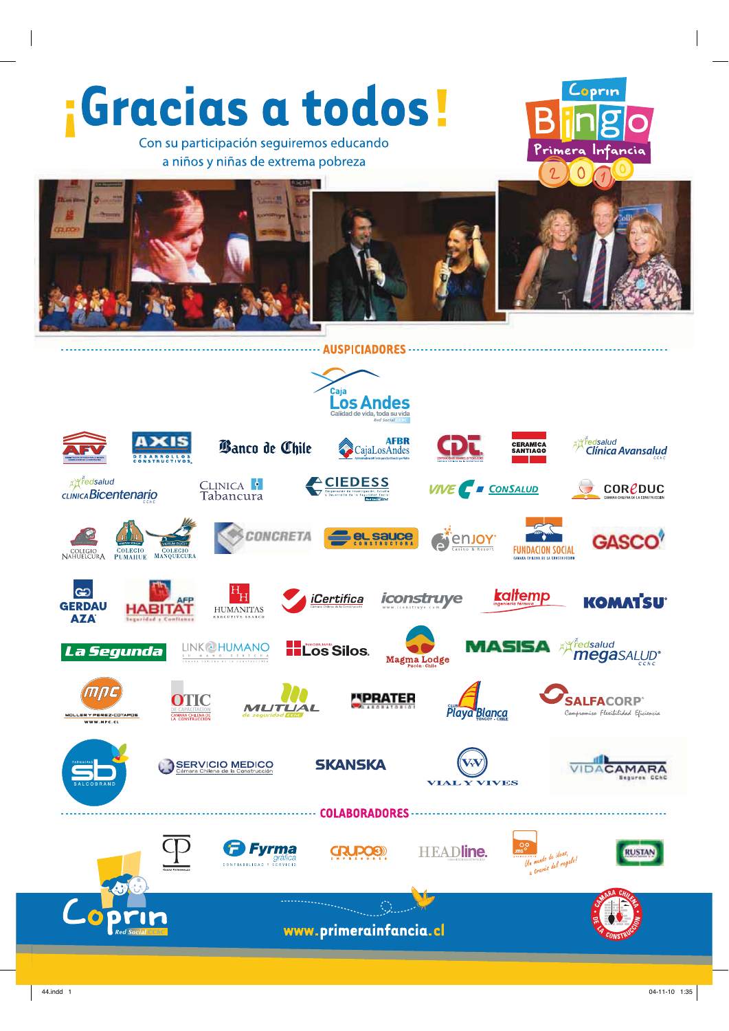